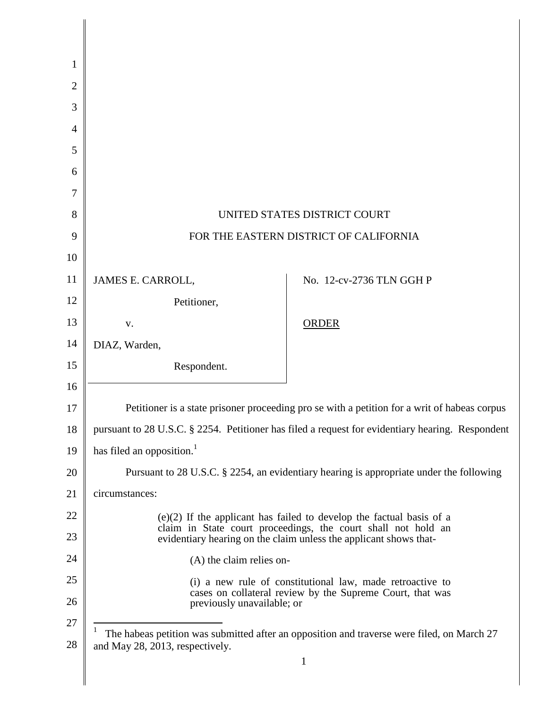| 1              |                                                                                                                                         |                          |  |
|----------------|-----------------------------------------------------------------------------------------------------------------------------------------|--------------------------|--|
| $\overline{2}$ |                                                                                                                                         |                          |  |
| 3              |                                                                                                                                         |                          |  |
| 4              |                                                                                                                                         |                          |  |
| 5              |                                                                                                                                         |                          |  |
| 6              |                                                                                                                                         |                          |  |
| 7              |                                                                                                                                         |                          |  |
| 8              | UNITED STATES DISTRICT COURT                                                                                                            |                          |  |
| 9              | FOR THE EASTERN DISTRICT OF CALIFORNIA                                                                                                  |                          |  |
| 10             |                                                                                                                                         |                          |  |
| 11             | JAMES E. CARROLL,                                                                                                                       | No. 12-cv-2736 TLN GGH P |  |
| 12             | Petitioner,                                                                                                                             |                          |  |
| 13             | V.                                                                                                                                      | <b>ORDER</b>             |  |
| 14             | DIAZ, Warden,                                                                                                                           |                          |  |
| 15             | Respondent.                                                                                                                             |                          |  |
| 16             |                                                                                                                                         |                          |  |
| 17             | Petitioner is a state prisoner proceeding pro se with a petition for a writ of habeas corpus                                            |                          |  |
| 18             | pursuant to 28 U.S.C. § 2254. Petitioner has filed a request for evidentiary hearing. Respondent                                        |                          |  |
| 19             | has filed an opposition. <sup>1</sup>                                                                                                   |                          |  |
| 20             | Pursuant to 28 U.S.C. § 2254, an evidentiary hearing is appropriate under the following                                                 |                          |  |
| 21             | circumstances:                                                                                                                          |                          |  |
| 22             | $(e)(2)$ If the applicant has failed to develop the factual basis of a<br>claim in State court proceedings, the court shall not hold an |                          |  |
| 23             | evidentiary hearing on the claim unless the applicant shows that-                                                                       |                          |  |
| 24             | (A) the claim relies on-                                                                                                                |                          |  |
| 25             | (i) a new rule of constitutional law, made retroactive to<br>cases on collateral review by the Supreme Court, that was                  |                          |  |
| 26             | previously unavailable; or                                                                                                              |                          |  |
| 27<br>28       | The habeas petition was submitted after an opposition and traverse were filed, on March 27<br>and May 28, 2013, respectively.           |                          |  |
|                |                                                                                                                                         | $\mathbf 1$              |  |
|                |                                                                                                                                         |                          |  |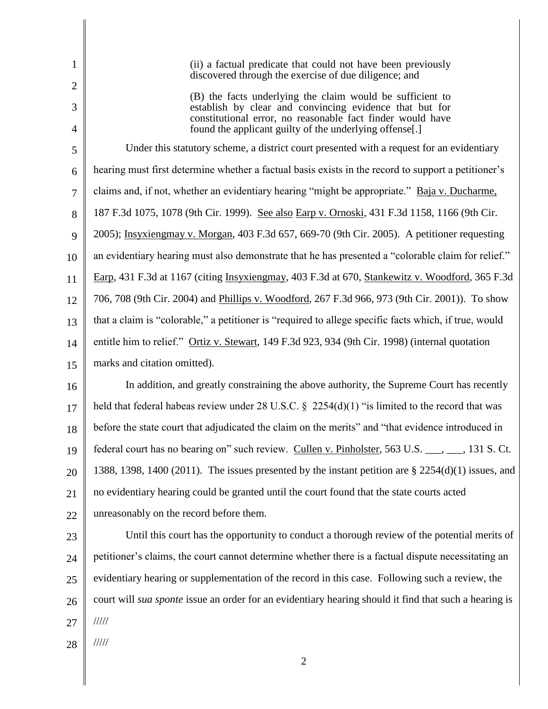| 1                   | (ii) a factual predicate that could not have been previously<br>discovered through the exercise of due diligence; and                                                          |
|---------------------|--------------------------------------------------------------------------------------------------------------------------------------------------------------------------------|
| $\overline{2}$      | (B) the facts underlying the claim would be sufficient to                                                                                                                      |
| 3<br>$\overline{4}$ | establish by clear and convincing evidence that but for<br>constitutional error, no reasonable fact finder would have<br>found the applicant guilty of the underlying offense. |
| 5                   | Under this statutory scheme, a district court presented with a request for an evidentiary                                                                                      |
| 6                   | hearing must first determine whether a factual basis exists in the record to support a petitioner's                                                                            |
| 7                   | claims and, if not, whether an evidentiary hearing "might be appropriate." Baja v. Ducharme,                                                                                   |
| 8                   | 187 F.3d 1075, 1078 (9th Cir. 1999). See also Earp v. Ornoski, 431 F.3d 1158, 1166 (9th Cir.                                                                                   |
| 9                   | 2005); Insyxiengmay v. Morgan, 403 F.3d 657, 669-70 (9th Cir. 2005). A petitioner requesting                                                                                   |
| 10                  | an evidentiary hearing must also demonstrate that he has presented a "colorable claim for relief."                                                                             |
| 11                  | Earp, 431 F.3d at 1167 (citing Insystengmay, 403 F.3d at 670, Stankewitz v. Woodford, 365 F.3d                                                                                 |
| 12                  | 706, 708 (9th Cir. 2004) and Phillips v. Woodford, 267 F.3d 966, 973 (9th Cir. 2001)). To show                                                                                 |
| 13                  | that a claim is "colorable," a petitioner is "required to allege specific facts which, if true, would                                                                          |
| 14                  | entitle him to relief." Ortiz v. Stewart, 149 F.3d 923, 934 (9th Cir. 1998) (internal quotation                                                                                |
| 15                  | marks and citation omitted).                                                                                                                                                   |
| 16                  | In addition, and greatly constraining the above authority, the Supreme Court has recently                                                                                      |
| 17                  | held that federal habeas review under 28 U.S.C. $\S$ 2254(d)(1) "is limited to the record that was                                                                             |
| 18                  | before the state court that adjudicated the claim on the merits" and "that evidence introduced in                                                                              |
| 19                  | federal court has no bearing on" such review. Cullen v. Pinholster, 563 U.S. ___, ___, 131 S. Ct.                                                                              |
| 20                  | 1388, 1398, 1400 (2011). The issues presented by the instant petition are $\S 2254(d)(1)$ issues, and                                                                          |
| 21                  | no evidentiary hearing could be granted until the court found that the state courts acted                                                                                      |
| 22                  | unreasonably on the record before them.                                                                                                                                        |
| 23                  | Until this court has the opportunity to conduct a thorough review of the potential merits of                                                                                   |
| 24                  | petitioner's claims, the court cannot determine whether there is a factual dispute necessitating an                                                                            |
| 25                  | evidentiary hearing or supplementation of the record in this case. Following such a review, the                                                                                |
| 26                  | court will <i>sua sponte</i> issue an order for an evidentiary hearing should it find that such a hearing is                                                                   |
| 27                  | 11111                                                                                                                                                                          |
| 28                  | 11111                                                                                                                                                                          |
|                     | $\overline{2}$                                                                                                                                                                 |